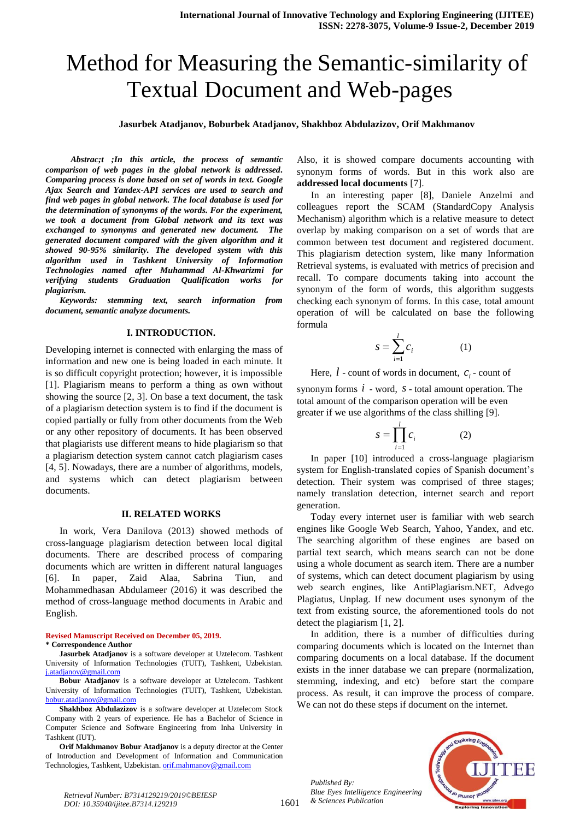# Method for Measuring the Semantic-similarity of Textual Document and Web-pages

#### **Jasurbek Atadjanov, Boburbek Atadjanov, Shakhboz Abdulazizov, Orif Makhmanov**

 *Abstrac;t ;In this article, the process of semantic comparison of web pages in the global network is addressed. Comparing process is done based on set of words in text. Google Ajax Search and Yandex-API services are used to search and find web pages in global network. The local database is used for the determination of synonyms of the words. For the experiment, we took a document from Global network and its text was exchanged to synonyms and generated new document. The generated document compared with the given algorithm and it showed 90-95% similarity. The developed system with this algorithm used in Tashkent University of Information Technologies named after Muhammad Al-Khwarizmi for verifying students Graduation Qualification works for plagiarism.*

*Keywords: stemming text, search information from document, semantic analyze documents.*

#### **I. INTRODUCTION.**

Developing internet is connected with enlarging the mass of information and new one is being loaded in each minute. It is so difficult copyright protection; however, it is impossible [1]. Plagiarism means to perform a thing as own without showing the source [2, 3]. On base a text document, the task of a plagiarism detection system is to find if the document is copied partially or fully from other documents from the Web or any other repository of documents. It has been observed that plagiarists use different means to hide plagiarism so that a plagiarism detection system cannot catch plagiarism cases [4, 5]. Nowadays, there are a number of algorithms, models, and systems which can detect plagiarism between documents.

#### **II. RELATED WORKS**

In work, Vera Danilova (2013) showed methods of cross-language plagiarism detection between local digital documents. There are described process of comparing documents which are written in different natural languages [6]. In paper, Zaid Alaa, Sabrina Tiun, and Mohammedhasan Abdulameer (2016) it was described the method of cross-language method documents in Arabic and English.

#### **Revised Manuscript Received on December 05, 2019. \* Correspondence Author**

**Jasurbek Atadjanov** is a software developer at Uztelecom. Tashkent University of Information Technologies (TUIT), Tashkent, Uzbekistan. [j.atadjanov@gmail.com](mailto:j.atadjanov@gmail.com)

**Bobur Atadjanov** is a software developer at Uztelecom. Tashkent University of Information Technologies (TUIT), Tashkent, Uzbekistan. [bobur.atadjanov@gmail.com](mailto:bobur.atadjanov@gmail.com)

**Shakhboz Abdulazizov** is a software developer at Uztelecom Stock Company with 2 years of experience. He has a Bachelor of Science in Computer Science and Software Engineering from Inha University in Tashkent (IUT).

**Orif Makhmanov Bobur Atadjanov** is a deputy director at the Center of Introduction and Development of Information and Communication Technologies, Tashkent, Uzbekistan[. orif.mahmanov@gmail.com](mailto:orif.mahmanov@gmail.com)

Also, it is showed compare documents accounting with synonym forms of words. But in this work also are **addressed local documents** [7].

In an interesting paper [8], Daniele Anzelmi and colleagues report the SCAM (StandardCopy Analysis Mechanism) algorithm which is a relative measure to detect overlap by making comparison on a set of words that are common between test document and registered document. This plagiarism detection system, like many Information Retrieval systems, is evaluated with metrics of precision and recall. To compare documents taking into account the synonym of the form of words, this algorithm suggests checking each synonym of forms. In this case, total amount operation of will be calculated on base the following formula

$$
s = \sum_{i=1}^{l} c_i \tag{1}
$$

Here,  $l$  - count of words in document,  $c_i$  - count of

synonym forms  $i$  - word,  $s$  - total amount operation. The total amount of the comparison operation will be even greater if we use algorithms of the class shilling [9].

$$
S = \prod_{i=1}^{l} c_i \tag{2}
$$

In paper [10] introduced a cross-language plagiarism system for English-translated copies of Spanish document's detection. Their system was comprised of three stages; namely translation detection, internet search and report generation.

Today every internet user is familiar with web search engines like Google Web Search, Yahoo, Yandex, and etc. The searching algorithm of these engines are based on partial text search, which means search can not be done using a whole document as search item. There are a number of systems, which can detect document plagiarism by using web search engines, like AntiPlagiarism.NET, Advego Plagiatus, Unplag. If new document uses synonym of the text from existing source, the aforementioned tools do not detect the plagiarism [1, 2].

In addition, there is a number of difficulties during comparing documents which is located on the Internet than comparing documents on a local database. If the document exists in the inner database we can prepare (normalization, stemming, indexing, and etc) before start the compare process. As result, it can improve the process of compare. We can not do these steps if document on the internet.

*Published By: Blue Eyes Intelligence Engineering & Sciences Publication* 

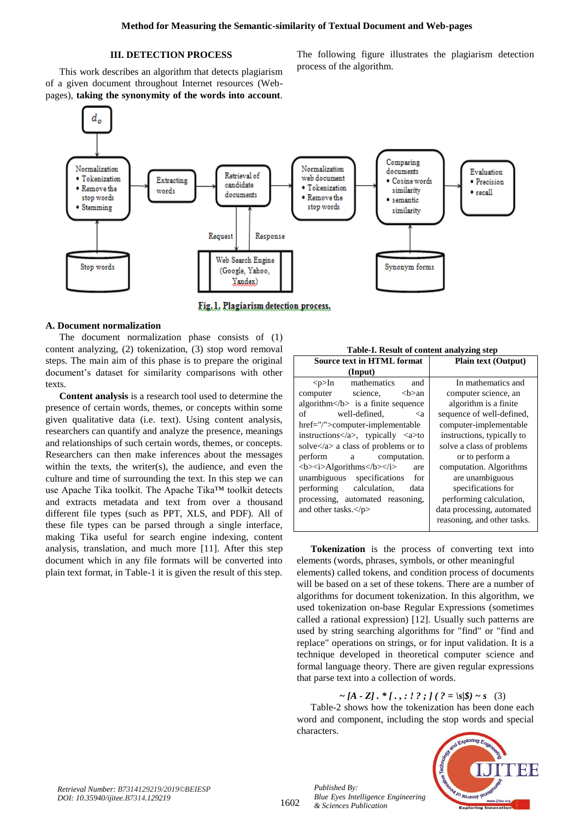# **III. DETECTION PROCESS**

This work describes an algorithm that detects plagiarism of a given document throughout Internet resources (Webpages), **taking the synonymity of the words into account**. The following figure illustrates the plagiarism detection process of the algorithm.



Fig. 1. Plagiarism detection process.

### **A. Document normalization**

The document normalization phase consists of (1) content analyzing, (2) tokenization, (3) stop word removal steps. The main aim of this phase is to prepare the original document's dataset for similarity comparisons with other texts.

**Content analysis** is a research tool used to determine the presence of certain words, themes, or concepts within some given qualitative data (i.e. text). Using content analysis, researchers can quantify and analyze the presence, meanings and relationships of such certain words, themes, or concepts. Researchers can then make inferences about the messages within the texts, the writer(s), the audience, and even the culture and time of surrounding the text. In this step we can use Apache Tika toolkit. The Apache Tika™ toolkit detects and extracts metadata and text from over a thousand different file types (such as PPT, XLS, and PDF). All of these file types can be parsed through a single interface, making Tika useful for search engine indexing, content analysis, translation, and much more [11]. After this step document which in any file formats will be converted into plain text format, in Table-1 it is given the result of this step.

| Table-I. Result of content analyzing step                                        |                             |  |  |
|----------------------------------------------------------------------------------|-----------------------------|--|--|
| <b>Source text in HTML format</b>                                                | <b>Plain text (Output)</b>  |  |  |
| (Input)                                                                          |                             |  |  |
| mathematics<br>and<br>$< p>$ In                                                  | In mathematics and          |  |  |
| science,<br>computer<br><b>an</b>                                                | computer science, an        |  |  |
| algorithm $\langle b \rangle$ is a finite sequence                               | algorithm is a finite.      |  |  |
| $\sigma$ f<br>well-defined.<br><a< td=""><td>sequence of well-defined,</td></a<> | sequence of well-defined,   |  |  |
| href="/">computer-implementable                                                  | computer-implementable      |  |  |
| instructions $\langle a \rangle$ , typically $\langle a \rangle$ to              | instructions, typically to  |  |  |
| solve $\langle a \rangle$ a class of problems or to                              | solve a class of problems   |  |  |
| perform<br>a computation.                                                        | or to perform a             |  |  |
| <b><i>Algorithms</i></b><br>are                                                  | computation. Algorithms     |  |  |
| unambiguous specifications<br>for                                                | are unambiguous             |  |  |
| performing calculation,<br>data                                                  | specifications for          |  |  |
| processing, automated reasoning,                                                 | performing calculation,     |  |  |
| and other tasks. $<$ /p>                                                         | data processing, automated  |  |  |
|                                                                                  | reasoning, and other tasks. |  |  |
|                                                                                  |                             |  |  |

**Tokenization** is the process of converting text into elements (words, phrases, symbols, or other meaningful elements) called tokens, and condition process of documents will be based on a set of these tokens. There are a number of algorithms for document tokenization. In this algorithm, we used tokenization on-base Regular Expressions (sometimes called a rational expression) [12]. Usually such patterns are used by string searching algorithms for "find" or "find and replace" operations on strings, or for input validation. It is a technique developed in theoretical computer science and formal language theory. There are given regular expressions that parse text into a collection of words.

# $\sim [A - Z] \cdot * [., : ! ? ; ] ( ? = |s| \}) \sim s$  (3)

Table-2 shows how the tokenization has been done each word and component, including the stop words and special characters.



1602

*Published By: Blue Eyes Intelligence Engineering & Sciences Publication*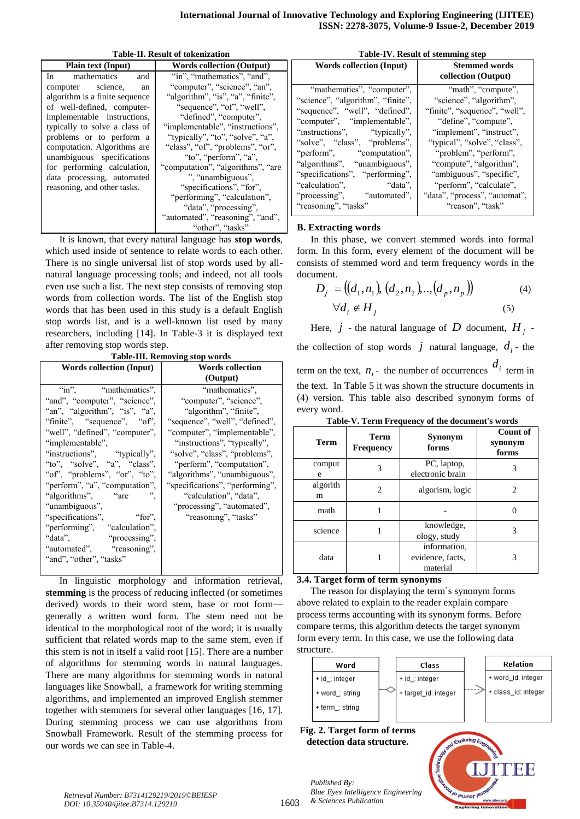**Table-II. Result of tokenization**

| <b>Plain text (Input)</b>                                                                                                                                                                                                                                                                                                                    | <b>Words collection (Output)</b>                                                                                                                                                                                                                                                                                                                                                                                                                  | $\mathbf{W}$                                                                                                                             |
|----------------------------------------------------------------------------------------------------------------------------------------------------------------------------------------------------------------------------------------------------------------------------------------------------------------------------------------------|---------------------------------------------------------------------------------------------------------------------------------------------------------------------------------------------------------------------------------------------------------------------------------------------------------------------------------------------------------------------------------------------------------------------------------------------------|------------------------------------------------------------------------------------------------------------------------------------------|
| mathematics<br>In<br>and                                                                                                                                                                                                                                                                                                                     | "in", "mathematics", "and",                                                                                                                                                                                                                                                                                                                                                                                                                       |                                                                                                                                          |
| computer science,<br>an<br>algorithm is a finite sequence<br>of well-defined, computer-<br>implementable instructions,<br>typically to solve a class of<br>problems or to perform a<br>computation. Algorithms are<br>unambiguous specifications<br>for performing calculation,<br>data processing, automated<br>reasoning, and other tasks. | "computer", "science", "an",<br>"algorithm", "is", "a", "finite",<br>"sequence", "of", "well",<br>"defined", "computer",<br>"implementable", "instructions",<br>"typically", "to", "solve", "a",<br>"class", "of", "problems", "or",<br>"to", "perform", "a",<br>"computation", "algorithms", "are"<br>", "unambiguous",<br>"specifications", "for",<br>"performing", "calculation",<br>"data", "processing",<br>"automated", "reasoning", "and", | "ma<br>"science<br>"sequen"<br>"compu<br>"instruc<br>"solve",<br>"perforn"<br>"algoritl<br>"specific<br>"calcula<br>"process<br>"reasoni |
|                                                                                                                                                                                                                                                                                                                                              | "other", "tasks"                                                                                                                                                                                                                                                                                                                                                                                                                                  | <b>B.</b> Exti                                                                                                                           |

It is known, that every natural language has **stop words**, which used inside of sentence to relate words to each other. There is no single universal list of stop words used by allnatural language processing tools; and indeed, not all tools even use such a list. The next step consists of removing stop words from collection words. The list of the English stop words that has been used in this study is a default English stop words list, and is a well-known list used by many researchers, including [14]. In Table-3 it is displayed text after removing stop words step.

**Table-III. Removing stop words**

| <b>Words collection (Input)</b> | <b>Words collection</b>         |  |  |
|---------------------------------|---------------------------------|--|--|
|                                 | (Output)                        |  |  |
| "in", "mathematics",            | "mathematics".                  |  |  |
| "and", "computer", "science",   | "computer", "science",          |  |  |
| "an", "algorithm", "is", "a",   | "algorithm", "finite",          |  |  |
| "finite", "sequence", "of",     | "sequence", "well", "defined",  |  |  |
| "well", "defined", "computer",  | "computer", "implementable",    |  |  |
| "implementable",                | "instructions", "typically",    |  |  |
| "instructions", "typically",    | "solve", "class", "problems",   |  |  |
| "to", "solve", "a", "class",    | "perform", "computation",       |  |  |
| "of", "problems", "or", "to",   | "algorithms", "unambiguous",    |  |  |
| "perform", "a", "computation",  | "specifications", "performing", |  |  |
| "algorithms", "are"             | "calculation", "data",          |  |  |
| "unambiguous",                  | "processing", "automated",      |  |  |
| "specifications",<br>"for",     | "reasoning", "tasks"            |  |  |
| "performing", "calculation",    |                                 |  |  |
| "data",<br>"processing",        |                                 |  |  |
| "automated", "reasoning",       |                                 |  |  |
| "and", "other", "tasks"         |                                 |  |  |
|                                 |                                 |  |  |

In linguistic morphology and information retrieval, **stemming** is the process of reducing inflected (or sometimes derived) words to their word stem, base or root form generally a written word form. The stem need not be identical to the morphological root of the word; it is usually sufficient that related words map to the same stem, even if this stem is not in itself a valid root [15]. There are a number of algorithms for stemming words in natural languages. There are many algorithms for stemming words in natural languages like Snowball, a framework for writing stemming algorithms, and implemented an improved English stemmer together with stemmers for several other languages [16, 17]. During stemming process we can use algorithms from Snowball Framework. Result of the stemming process for our words we can see in Table-4.

| Table-IV. Result of stemming step |  |
|-----------------------------------|--|
|-----------------------------------|--|

| <b>Words collection (Input)</b>   | <b>Stemmed words</b><br>collection (Output) |
|-----------------------------------|---------------------------------------------|
| "mathematics", "computer",        | "math", "compute",                          |
| "science", "algorithm", "finite", | "science", "algorithm",                     |
| "sequence", "well", "defined",    | "finite", "sequence", "well",               |
| "computer", "implementable",      | "define", "compute",                        |
| "instructions", "typically",      | "implement", "instruct",                    |
| "solve", "class", "problems",     | "typical", "solve", "class",                |
| "perform", "computation",         | "problem", "perform",                       |
| "algorithms", "unambiguous",      | "compute", "algorithm",                     |
| "specifications", "performing",   | "ambiguous", "specific",                    |
| "calculation".<br>"data".         | "perform", "calculate",                     |
| "processing", "automated",        | "data", "process", "automat",               |
| "reasoning", "tasks"              | "reason", "task"                            |

#### **B. Extracting words**

every word.

In this phase, we convert stemmed words into formal form. In this form, every element of the document will be consists of stemmed word and term frequency words in the document.

$$
D_j = ((d_1, n_1), (d_2, n_2), \ldots, (d_p, n_p))
$$
  
\n
$$
\forall d_i \notin H_j
$$
 (5)

Here,  $j$  - the natural language of  $D$  document,  $H_j$  the collection of stop words  $j$  natural language,  $d_i$  - the term on the text,  $n_i$ - the number of occurrences  $d_i$  term in the text. In Table 5 it was shown the structure documents in (4) version. This table also described synonym forms of

| rable v. refull prequency of the document's words |                          |                                              |                              |
|---------------------------------------------------|--------------------------|----------------------------------------------|------------------------------|
| <b>Term</b>                                       | Term<br><b>Frequency</b> | Synonym<br>forms                             | Count of<br>synonym<br>forms |
| comput<br>e                                       | 3                        | PC, laptop,<br>electronic brain              | 3                            |
| algorith<br>m                                     | 2                        | algorism, logic                              | 2                            |
| math                                              |                          |                                              |                              |
| science                                           |                          | knowledge,<br>ology, study                   | 3                            |
| data                                              |                          | information,<br>evidence, facts,<br>material | 3                            |

**Table-V. Term Frequency of the document's words**

### **3.4. Target form of term synonyms**

The reason for displaying the term`s synonym forms above related to explain to the reader explain compare process terms accounting with its synonym forms. Before compare terms, this algorithm detects the target synonym form every term. In this case, we use the following data structure.



**Fig. 2. Target form of terms detection data structure.**



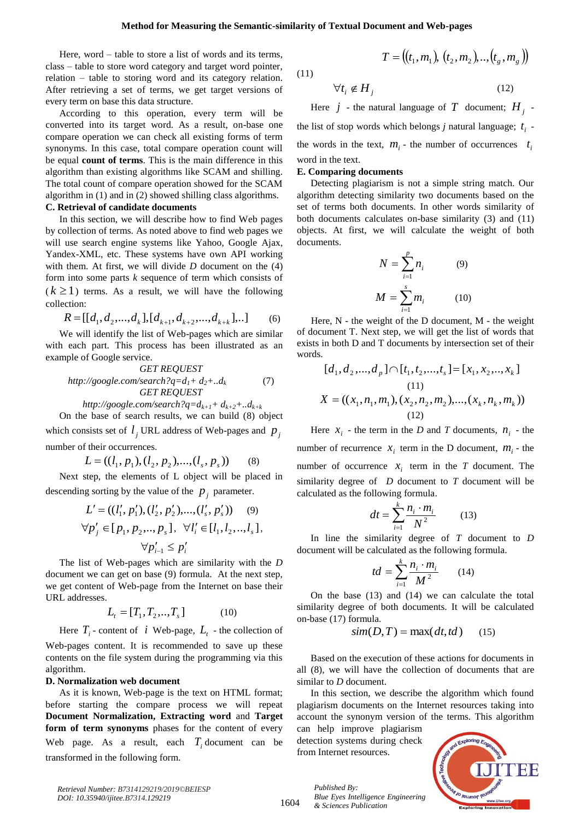Here, word – table to store a list of words and its terms, class – table to store word category and target word pointer, relation – table to storing word and its category relation. After retrieving a set of terms, we get target versions of every term on base this data structure.

According to this operation, every term will be converted into its target word. As a result, on-base one compare operation we can check all existing forms of term synonyms. In this case, total compare operation count will be equal **count of terms**. This is the main difference in this algorithm than existing algorithms like SCAM and shilling. The total count of compare operation showed for the SCAM algorithm in (1) and in (2) showed shilling class algorithms. **C. Retrieval of candidate documents**

# In this section, we will describe how to find Web pages by collection of terms. As noted above to find web pages we will use search engine systems like Yahoo, Google Ajax, Yandex-XML, etc. These systems have own API working with them. At first, we will divide *D* document on the (4) form into some parts *k* sequence of term which consists of  $(k \geq 1)$  terms. As a result, we will have the following

collection:

$$
R = [[d_1, d_2, ..., d_k], [d_{k+1}, d_{k+2}, ..., d_{k+k}],..]
$$
 (6)

We will identify the list of Web-pages which are similar with each part. This process has been illustrated as an example of Google service.

*GET REQUEST http://google.com/search?q=d1+ d2+..d<sup>k</sup>* (7) *GET REQUEST*

*http://google.com/search?q=dk+1+ dk+2+..dk+k*  On the base of search results, we can build (8) object

which consists set of  $l_j$  URL address of Web-pages and  $p_j$ number of their occurrences.

$$
L = ((l_1, p_1), (l_2, p_2), ..., (l_s, p_s))
$$
 (8)

Next step, the elements of L object will be placed in descending sorting by the value of the  $p_j$  parameter.

$$
L' = ((l'_1, p'_1), (l'_2, p'_2), ..., (l'_s, p'_s))
$$
(9)  

$$
\forall p'_j \in [p_1, p_2, ..., p_s], \forall l'_i \in [l_1, l_2, ..., l_s],
$$
  

$$
\forall p'_{i-1} \le p'_i
$$

The list of Web-pages which are similarity with the *D* document we can get on base (9) formula. At the next step, we get content of Web-page from the Internet on base their URL addresses.

$$
L_t = [T_1, T_2, \dots, T_s] \tag{10}
$$

Here  $T_i$  - content of *i* Web-page,  $L_i$  - the collection of Web-pages content. It is recommended to save up these contents on the file system during the programming via this algorithm.

#### **D. Normalization web document**

As it is known, Web-page is the text on HTML format; before starting the compare process we will repeat **Document Normalization, Extracting word** and **Target form of term synonyms** phases for the content of every Web page. As a result, each  $T_i$  document can be transformed in the following form.

(11)

$$
\forall t_i \notin H_j \tag{12}
$$

 $T = ((t_1, m_1), (t_2, m_2), ..., (t_g, m_g))$ 

Here  $j$  - the natural language of  $T$  document;  $H_j$  the list of stop words which belongs *j* natural language;  $t_i$  the words in the text,  $m_i$  - the number of occurrences  $t_i$ word in the text.

#### **E. Comparing documents**

Detecting plagiarism is not a simple string match. Our algorithm detecting similarity two documents based on the set of terms both documents. In other words similarity of both documents calculates on-base similarity (3) and (11) objects. At first, we will calculate the weight of both documents.

$$
N = \sum_{i=1}^{p} n_i
$$
 (9)  

$$
M = \sum_{i=1}^{s} m_i
$$
 (10)

Here,  $N$  - the weight of the D document,  $M$  - the weight of document T. Next step, we will get the list of words that exists in both D and T documents by intersection set of their words.

$$
[d_1, d_2, ..., d_p] \cap [t_1, t_2, ..., t_s] = [x_1, x_2, ..., x_k]
$$
  
(11)  

$$
X = ((x_1, n_1, m_1), (x_2, n_2, m_2), ..., (x_k, n_k, m_k))
$$
  
(12)

Here  $x_i$  - the term in the *D* and *T* documents,  $n_i$  - the number of recurrence  $x_i$  term in the D document,  $m_i$  - the number of occurrence  $x_i$  term in the *T* document. The similarity degree of *D* document to *T* document will be calculated as the following formula.

$$
dt = \sum_{i=1}^{k} \frac{n_i \cdot m_i}{N^2} \tag{13}
$$

In line the similarity degree of *T* document to *D* document will be calculated as the following formula.

$$
td = \sum_{i=1}^{k} \frac{n_i \cdot m_i}{M^2} \qquad (14)
$$

On the base (13) and (14) we can calculate the total similarity degree of both documents. It will be calculated on-base (17) formula.

$$
sim(D, T) = \max(dt, td)
$$
 (15)

Based on the execution of these actions for documents in all (8), we will have the collection of documents that are similar to *D* document.

In this section, we describe the algorithm which found plagiarism documents on the Internet resources taking into account the synonym version of the terms. This algorithm

can help improve plagiarism detection systems during check from Internet resources.

*Blue Eyes Intelligence Engineering* 

*Published By:*

*& Sciences Publication* 



*Retrieval Number: B7314129219/2019©BEIESP DOI: 10.35940/ijitee.B7314.129219*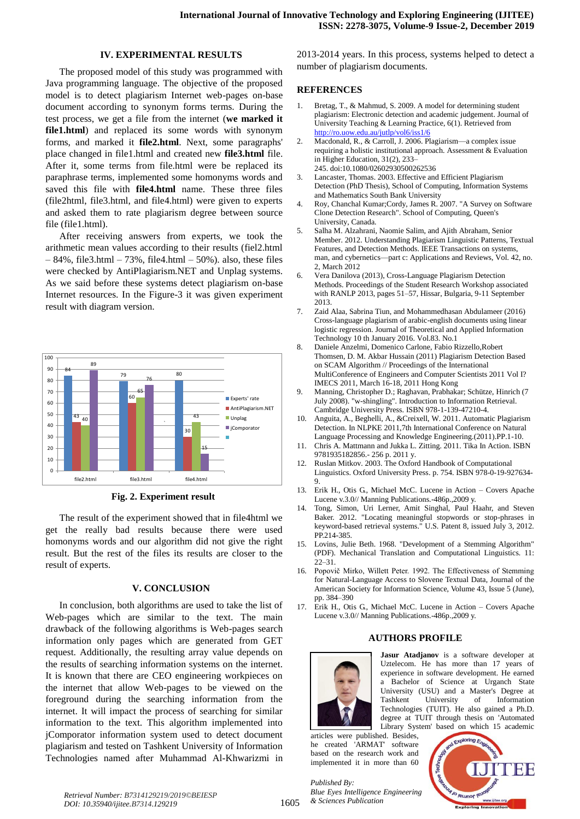# **IV. EXPERIMENTAL RESULTS**

The proposed model of this study was programmed with Java programming language. The objective of the proposed model is to detect plagiarism Internet web-pages on-base document according to synonym forms terms. During the test process, we get a file from the internet (**we marked it file1.html**) and replaced its some words with synonym forms, and marked it **file2.html**. Next, some paragraphs' place changed in file1.html and created new **file3.html** file. After it, some terms from file.html were be replaced its paraphrase terms, implemented some homonyms words and saved this file with **file4.html** name. These three files (file2html, file3.html, and file4.html) were given to experts and asked them to rate plagiarism degree between source file (file1.html).

After receiving answers from experts, we took the arithmetic mean values according to their results (fiel2.html  $-84\%$ , file3.html  $-73\%$ , file4.html  $-50\%$ ). also, these files were checked by AntiPlagiarism.NET and Unplag systems. As we said before these systems detect plagiarism on-base Internet resources. In the Figure-3 it was given experiment result with diagram version.



**Fig. 2. Experiment result**

The result of the experiment showed that in file4html we get the really bad results because there were used homonyms words and our algorithm did not give the right result. But the rest of the files its results are closer to the result of experts.

### **V. CONCLUSION**

In conclusion, both algorithms are used to take the list of Web-pages which are similar to the text. The main drawback of the following algorithms is Web-pages search information only pages which are generated from GET request. Additionally, the resulting array value depends on the results of searching information systems on the internet. It is known that there are CEO engineering workpieces on the internet that allow Web-pages to be viewed on the foreground during the searching information from the internet. It will impact the process of searching for similar information to the text. This algorithm implemented into jComporator information system used to detect document plagiarism and tested on Tashkent University of Information Technologies named after Muhammad Al-Khwarizmi in 2013-2014 years. In this process, systems helped to detect a number of plagiarism documents.

# **REFERENCES**

- 1. Bretag, T., & Mahmud, S. 2009. A model for determining student plagiarism: Electronic detection and academic judgement. Journal of University Teaching & Learning Practice, 6(1). Retrieved from <http://ro.uow.edu.au/jutlp/vol6/iss1/6>
- 2. Macdonald, R., & Carroll, J. 2006. Plagiarism—a complex issue requiring a holistic institutional approach. Assessment & Evaluation in Higher Education, 31(2), 233– 245. [doi](https://en.wikipedia.org/wiki/Digital_object_identifier)[:10.1080/02602930500262536](https://doi.org/10.1080%2F02602930500262536)
- 3. Lancaster, Thomas. 2003. Effective and Efficient Plagiarism Detection (PhD Thesis), School of Computing, Information Systems and Mathematics South Bank University
- 4. Roy, Chanchal Kumar;Cordy, James R. 2007. "A Survey on Software Clone Detection Research". School of Computing, Queen's University, Canada.
- 5. Salha M. Alzahrani, Naomie Salim, and Ajith Abraham, Senior Member. 2012. Understanding Plagiarism Linguistic Patterns, Textual Features, and Detection Methods. IEEE Transactions on systems, man, and cybernetics—part c: Applications and Reviews, Vol. 42, no. 2, March 2012
- 6. Vera Danilova (2013), Cross-Language Plagiarism Detection Methods. Proceedings of the Student Research Workshop associated with RANLP 2013, pages 51–57, Hissar, Bulgaria, 9-11 September 2013.
- 7. Zaid Alaa, Sabrina Tiun, and Mohammedhasan Abdulameer (2016) Cross-language plagiarism of arabic-english documents using linear logistic regression. Journal of Theoretical and Applied Information Technology 10 th January 2016. Vol.83. No.1
- 8. Daniele Anzelmi, Domenico Carlone, Fabio Rizzello,Robert Thomsen, D. M. Akbar Hussain (2011) Plagiarism Detection Based on SCAM Algorithm // Proceedings of the International MultiConference of Engineers and Computer Scientists 2011 Vol I? IMECS 2011, March 16-18, 2011 Hong Kong
- 9. Manning, Christopher D.; Raghavan, Prabhakar; Schütze, Hinrich (7 July 2008). "w-shingling". Introduction to Information Retrieval. Cambridge University Press. ISBN 978-1-139-47210-4.
- 10. Anguita, A., Beghelli, A., &Creixell, W. 2011. Automatic Plagiarism Detection. In NLPKE 2011,7th International Conference on Natural Language Processing and Knowledge Engineering.(2011).PP.1-10.
- 11. Chris A. Mattmann and Jukka L. Zitting. 2011. Tika In Action. ISBN 9781935182856.- 256 p. 2011 y.
- 12. Ruslan Mitkov. 2003. [The Oxford Handbook of Computational](https://books.google.com/books?id=yl6AnaKtVAkC&pg=PA754)  [Linguistics.](https://books.google.com/books?id=yl6AnaKtVAkC&pg=PA754) Oxford University Press. p. 754. [ISBN](https://en.wikipedia.org/wiki/International_Standard_Book_Number) [978-0-19-927634-](https://en.wikipedia.org/wiki/Special:BookSources/978-0-19-927634-9) [9.](https://en.wikipedia.org/wiki/Special:BookSources/978-0-19-927634-9)
- 13. Erik H., Otis G., Michael McC. Lucene in Action Covers Apache Lucene v.3.0// Manning Publications.-486p.,2009 y.
- 14. Tong, Simon, Uri Lerner, Amit Singhal, Paul Haahr, and Steven Baker. 2012. "Locating meaningful stopwords or stop-phrases in keyword-based retrieval systems." U.S. Patent 8, issued July 3, 2012. PP.214-385.
- 15. Lovins, Julie Beth. 1968. "Development of a Stemming Algorithm" (PDF). Mechanical Translation and Computational Linguistics. 11: 22–31.
- 16. Popovič Mirko, Willett Peter. 1992. The Effectiveness of Stemming for Natural-Language Access to Slovene Textual Data, Journal of the American Society for Information Science, Volume 43, Issue 5 (June), pp. 384–390
- 17. Erik H., Otis G., Michael McC. Lucene in Action Covers Apache Lucene v.3.0// Manning Publications.-486p.,2009 y.

# **AUTHORS PROFILE**



**Jasur Atadjanov** is a software developer at Uztelecom. He has more than 17 years of experience in software development. He earned Bachelor of Science at Urganch State University (USU) and a Master's Degree at Tashkent University of Information Technologies (TUIT). He also gained a Ph.D. degree at TUIT through thesis on 'Automated Library System' based on which 15 academic

articles were published. Besides, he created 'ARMAT' software based on the research work and implemented it in more than 60

INEIE

*Retrieval Number: B7314129219/2019©BEIESP DOI: 10.35940/ijitee.B7314.129219*

*Published By: Blue Eyes Intelligence Engineering & Sciences Publication*